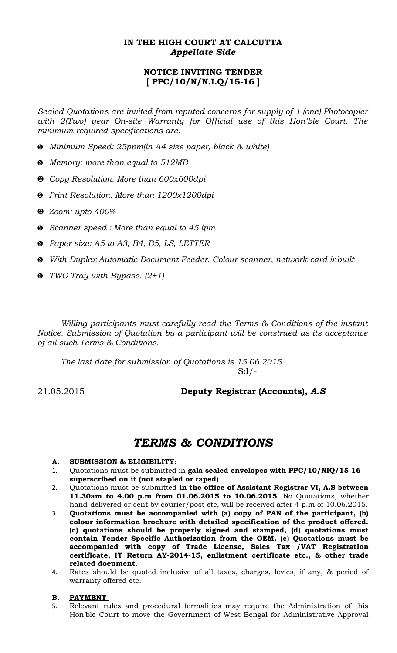## **IN THE HIGH COURT AT CALCUTTA** *Appellate Side*

## **NOTICE INVITING TENDER [ PPC/10/N/N.I.Q/15-16 ]**

*Sealed Quotations are invited from reputed concerns for supply of 1 (one) Photocopier with 2(Two) year On-site Warranty for Official use of this Hon'ble Court. The minimum required specifications are:* 

- *Minimum Speed: 25ppm(in A4 size paper, black & white)*
- *Memory: more than equal to 512MB*
- *Copy Resolution: More than 600x600dpi*
- *Print Resolution: More than 1200x1200dpi*
- *Zoom: upto 400%*
- *Scanner speed : More than equal to 45 ipm*
- *Paper size: A5 to A3, B4, B5, LS, LETTER*
- *With Duplex Automatic Document Feeder, Colour scanner, network-card inbuilt*
- *TWO Tray with Bypass. (2+1)*

*Willing participants must carefully read the Terms & Conditions of the instant Notice. Submission of Quotation by a participant will be construed as its acceptance of all such Terms & Conditions.*

*The last date for submission of Quotations is 15.06.2015.*   $Sd$  /-

### 21.05.2015 **Deputy Registrar (Accounts)***, A.S*

# *TERMS & CONDITIONS*

- **A. SUBMISSION & ELIGIBILITY:**
- 1. Quotations must be submitted in **gala sealed envelopes with PPC/10/NIQ/15-16 superscribed on it (not stapled or taped)**
- 2. Quotations must be submitted **in the office of Assistant Registrar-VI, A.S between 11.30am to 4.00 p.m from 01.06.2015 to 10.06.2015**. No Quotations, whether hand-delivered or sent by courier/post etc, will be received after 4 p.m of 10.06.2015.
- 3. **Quotations must be accompanied with (a) copy of PAN of the participant, (b) colour information brochure with detailed specification of the product offered. (c) quotations should be properly signed and stamped, (d) quotations must contain Tender Specific Authorization from the OEM. (e) Quotations must be accompanied with copy of Trade License, Sales Tax /VAT Registration certificate, IT Return AY-2014-15, enlistment certificate etc., & other trade related document.**
- 4. Rates should be quoted inclusive of all taxes, charges, levies, if any, & period of warranty offered etc.

### **B. PAYMENT**

5. Relevant rules and procedural formalities may require the Administration of this Hon'ble Court to move the Government of West Bengal for Administrative Approval